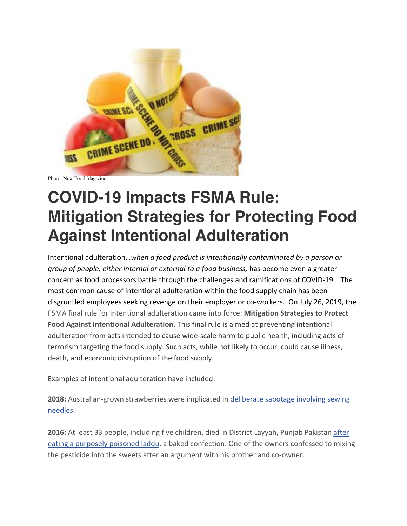

Photo: New Food Magazine

## **COVID-19 Impacts FSMA Rule: Mitigation Strategies for Protecting Food Against Intentional Adulteration**

Intentional adulteration…*when a food product is intentionally contaminated by a person or group of people, either internal or external to a food business,* has become even a greater concern as food processors battle through the challenges and ramifications of COVID-19. The most common cause of intentional adulteration within the food supply chain has been disgruntled employees seeking revenge on their employer or co-workers. On July 26, 2019, the FSMA final rule for intentional adulteration came into force: **Mitigation Strategies to Protect Food Against Intentional Adulteration.** This final rule is aimed at preventing intentional adulteration from acts intended to cause wide-scale harm to public health, including acts of terrorism targeting the food supply. Such acts, while not likely to occur, could cause illness, death, and economic disruption of the food supply.

Examples of intentional adulteration have included:

**2018:** Australian-grown strawberries were implicated in deliberate sabotage involving sewing needles.

**2016:** At least 33 people, including five children, died in District Layyah, Punjab Pakistan after eating a purposely poisoned laddu, a baked confection. One of the owners confessed to mixing the pesticide into the sweets after an argument with his brother and co-owner.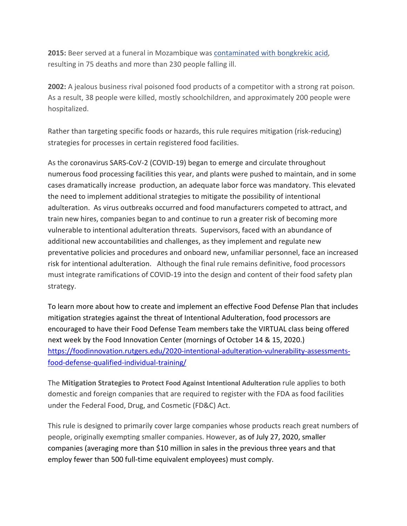**2015:** Beer served at a funeral in Mozambique was contaminated with bongkrekic acid, resulting in 75 deaths and more than 230 people falling ill.

**2002:** A jealous business rival poisoned food products of a competitor with a strong rat poison. As a result, 38 people were killed, mostly schoolchildren, and approximately 200 people were hospitalized.

Rather than targeting specific foods or hazards, this rule requires mitigation (risk-reducing) strategies for processes in certain registered food facilities.

As the coronavirus SARS-CoV-2 (COVID-19) began to emerge and circulate throughout numerous food processing facilities this year, and plants were pushed to maintain, and in some cases dramatically increase production, an adequate labor force was mandatory. This elevated the need to implement additional strategies to mitigate the possibility of intentional adulteration. As virus outbreaks occurred and food manufacturers competed to attract, and train new hires, companies began to and continue to run a greater risk of becoming more vulnerable to intentional adulteration threats. Supervisors, faced with an abundance of additional new accountabilities and challenges, as they implement and regulate new preventative policies and procedures and onboard new, unfamiliar personnel, face an increased risk for intentional adulteration. Although the final rule remains definitive, food processors must integrate ramifications of COVID-19 into the design and content of their food safety plan strategy.

To learn more about how to create and implement an effective Food Defense Plan that includes mitigation strategies against the threat of Intentional Adulteration, food processors are encouraged to have their Food Defense Team members take the VIRTUAL class being offered next week by the Food Innovation Center (mornings of October 14 & 15, 2020.) https://foodinnovation.rutgers.edu/2020-intentional-adulteration-vulnerability-assessmentsfood-defense-qualified-individual-training/

The **Mitigation Strategies to Protect Food Against Intentional Adulteration** rule applies to both domestic and foreign companies that are required to register with the FDA as food facilities under the Federal Food, Drug, and Cosmetic (FD&C) Act.

This rule is designed to primarily cover large companies whose products reach great numbers of people, originally exempting smaller companies. However, as of July 27, 2020, smaller companies (averaging more than \$10 million in sales in the previous three years and that employ fewer than 500 full-time equivalent employees) must comply.